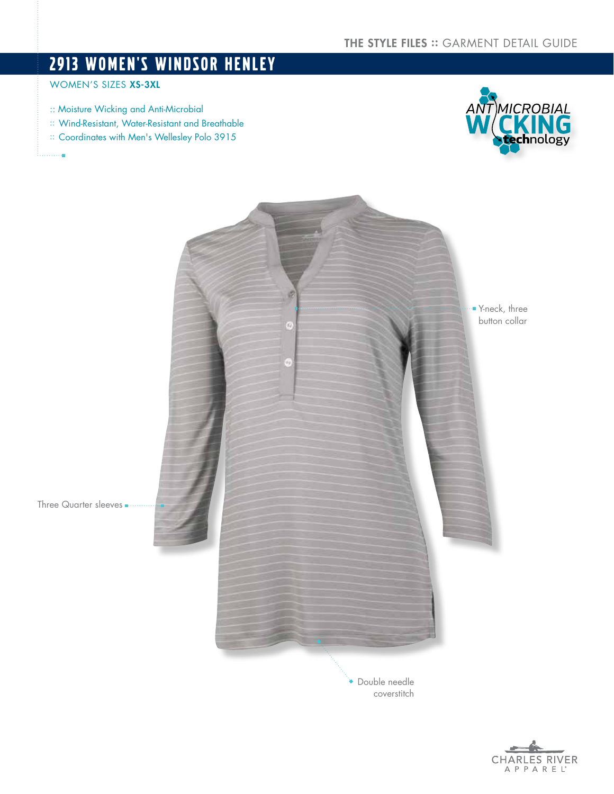## 2913 WOMEN'S WINDSOR HENLEY

## WOMEN'S SIZES XS-3XL

1. . . . . . . . . **. .** 

- :: Moisture Wicking and Anti-Microbial
- :: Wind-Resistant, Water-Resistant and Breathable
- :: Coordinates with Men's Wellesley Polo 3915





Three Quarter sleeves .